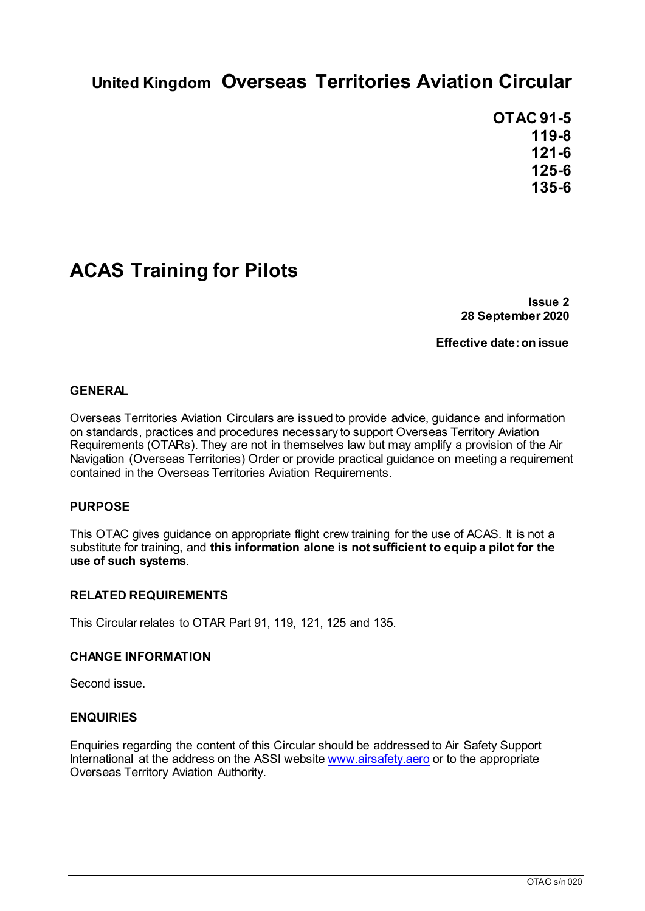# **United Kingdom Overseas Territories Aviation Circular**

**OTAC 91-5 119-8 121-6 125-6 135-6**

# **ACAS Training for Pilots**

**Issue 2 28 September 2020**

**Effective date: on issue**

### **GENERAL**

Overseas Territories Aviation Circulars are issued to provide advice, guidance and information on standards, practices and procedures necessary to support Overseas Territory Aviation Requirements (OTARs). They are not in themselves law but may amplify a provision of the Air Navigation (Overseas Territories) Order or provide practical guidance on meeting a requirement contained in the Overseas Territories Aviation Requirements.

### **PURPOSE**

This OTAC gives guidance on appropriate flight crew training for the use of ACAS. It is not a substitute for training, and **this information alone is not sufficient to equip a pilot for the use of such systems**.

### **RELATED REQUIREMENTS**

This Circular relates to OTAR Part 91, 119, 121, 125 and 135.

### **CHANGE INFORMATION**

Second issue.

### **ENQUIRIES**

Enquiries regarding the content of this Circular should be addressed to Air Safety Support International at the address on the ASSI website www.airsafety.aero or to the appropriate Overseas Territory Aviation Authority.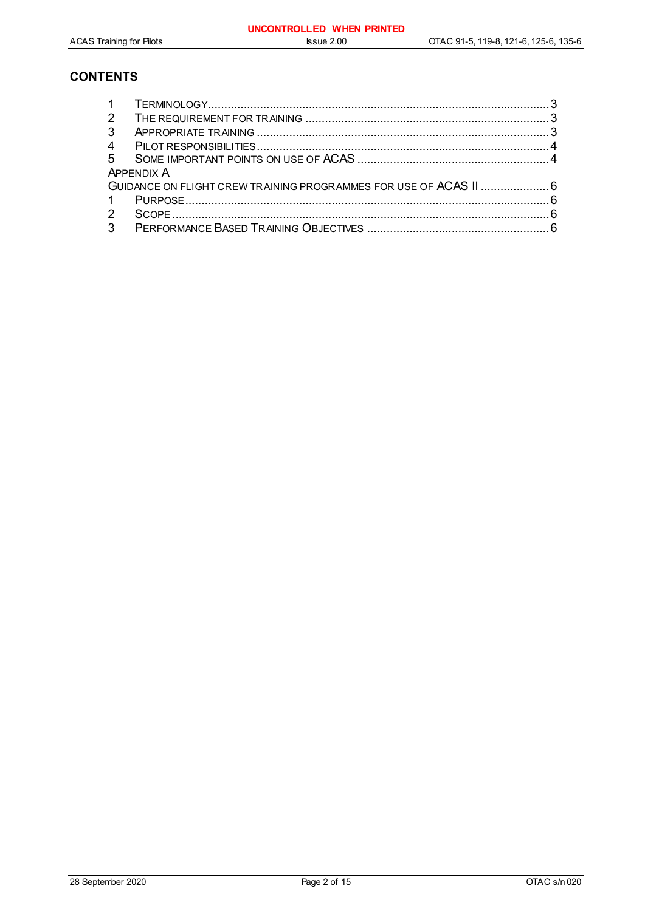### **CONTENTS**

| 2                                                                 |  |  |  |  |
|-------------------------------------------------------------------|--|--|--|--|
| 3                                                                 |  |  |  |  |
|                                                                   |  |  |  |  |
| 5 <sup>5</sup>                                                    |  |  |  |  |
| <b>APPFNDIX A</b>                                                 |  |  |  |  |
| GUIDANCE ON FLIGHT CREW TRAINING PROGRAMMES FOR USE OF ACAS II  6 |  |  |  |  |
| $\overline{1}$                                                    |  |  |  |  |
| $\mathcal{P}$                                                     |  |  |  |  |
| 3 <sup>1</sup>                                                    |  |  |  |  |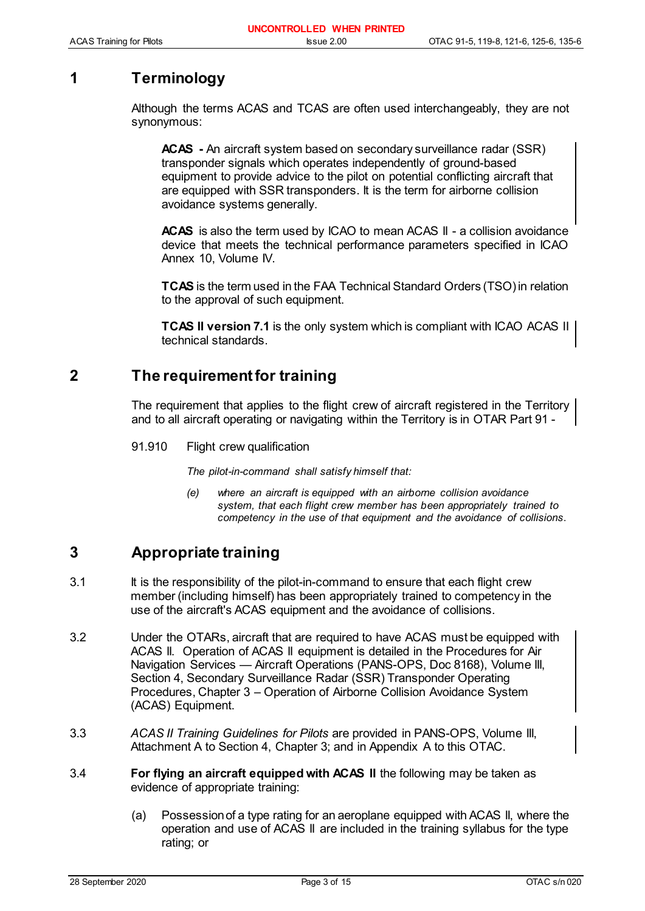# **1 Terminology**

Although the terms ACAS and TCAS are often used interchangeably, they are not synonymous:

**ACAS -** An aircraft system based on secondary surveillance radar (SSR) transponder signals which operates independently of ground-based equipment to provide advice to the pilot on potential conflicting aircraft that are equipped with SSR transponders. It is the term for airborne collision avoidance systems generally.

**ACAS** is also the term used by ICAO to mean ACAS II - a collision avoidance device that meets the technical performance parameters specified in ICAO Annex 10, Volume IV.

**TCAS** is the term used in the FAA Technical Standard Orders (TSO) in relation to the approval of such equipment.

**TCAS II version 7.1** is the only system which is compliant with ICAO ACAS II technical standards.

### **2 The requirement for training**

The requirement that applies to the flight crew of aircraft registered in the Territory and to all aircraft operating or navigating within the Territory is in OTAR Part 91 -

91.910 Flight crew qualification

*The pilot-in-command shall satisfy himself that:*

*(e) where an aircraft is equipped with an airborne collision avoidance system, that each flight crew member has been appropriately trained to competency in the use of that equipment and the avoidance of collisions*.

# **3 Appropriate training**

- 3.1 It is the responsibility of the pilot-in-command to ensure that each flight crew member (including himself) has been appropriately trained to competency in the use of the aircraft's ACAS equipment and the avoidance of collisions.
- 3.2 Under the OTARs, aircraft that are required to have ACAS must be equipped with ACAS II. Operation of ACAS II equipment is detailed in the Procedures for Air Navigation Services — Aircraft Operations (PANS-OPS, Doc 8168), Volume III, Section 4, Secondary Surveillance Radar (SSR) Transponder Operating Procedures, Chapter 3 – Operation of Airborne Collision Avoidance System (ACAS) Equipment.
- 3.3 *ACAS II Training Guidelines for Pilots* are provided in PANS-OPS, Volume III, Attachment A to Section 4, Chapter 3; and in Appendix A to this OTAC.
- 3.4 **For flying an aircraft equipped with ACAS II** the following may be taken as evidence of appropriate training:
	- (a) Possession of a type rating for an aeroplane equipped with ACAS II, where the operation and use of ACAS II are included in the training syllabus for the type rating; or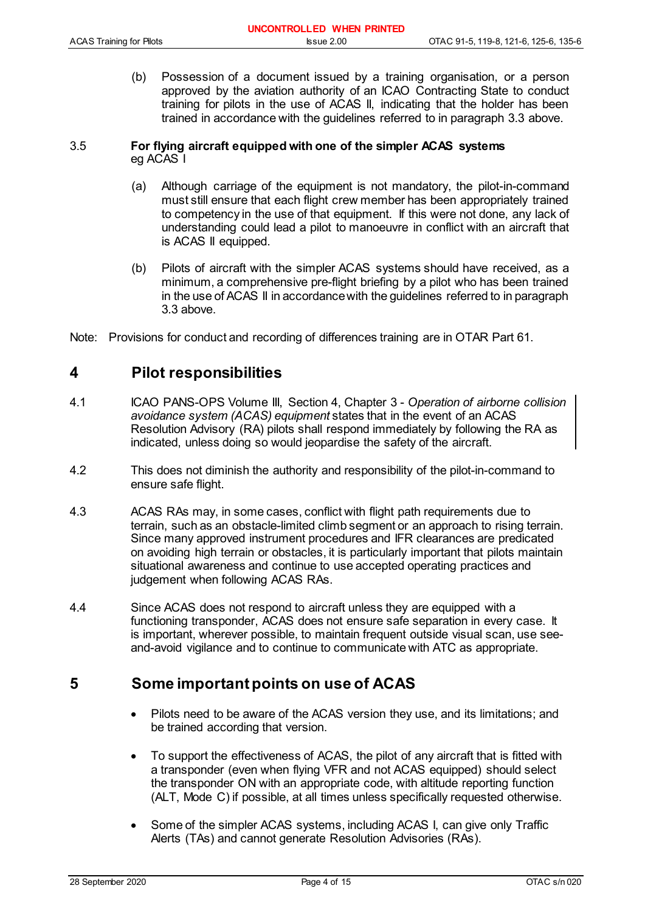|                                 | UNCONTROLLED WHEN PRINTED |                                       |
|---------------------------------|---------------------------|---------------------------------------|
| <b>ACAS Training for Pilots</b> | $l$ ssue $2.00$           | OTAC 91-5, 119-8, 121-6, 125-6, 135-6 |

(b) Possession of a document issued by a training organisation, or a person approved by the aviation authority of an ICAO Contracting State to conduct training for pilots in the use of ACAS II, indicating that the holder has been trained in accordance with the guidelines referred to in paragraph 3.3 above.

### 3.5 **For flying aircraft equipped with one of the simpler ACAS systems** eg ACAS I

- (a) Although carriage of the equipment is not mandatory, the pilot-in-command must still ensure that each flight crew member has been appropriately trained to competency in the use of that equipment. If this were not done, any lack of understanding could lead a pilot to manoeuvre in conflict with an aircraft that is ACAS II equipped.
- (b) Pilots of aircraft with the simpler ACAS systems should have received, as a minimum, a comprehensive pre-flight briefing by a pilot who has been trained in the use of ACAS II in accordance with the guidelines referred to in paragraph 3.3 above.
- Note: Provisions for conduct and recording of differences training are in OTAR Part 61.

### **4 Pilot responsibilities**

- 4.1 ICAO PANS-OPS Volume III, Section 4, Chapter 3 *Operation of airborne collision avoidance system (ACAS) equipment* states that in the event of an ACAS Resolution Advisory (RA) pilots shall respond immediately by following the RA as indicated, unless doing so would jeopardise the safety of the aircraft.
- 4.2 This does not diminish the authority and responsibility of the pilot-in-command to ensure safe flight.
- 4.3 ACAS RAs may, in some cases, conflict with flight path requirements due to terrain, such as an obstacle-limited climb segment or an approach to rising terrain. Since many approved instrument procedures and IFR clearances are predicated on avoiding high terrain or obstacles, it is particularly important that pilots maintain situational awareness and continue to use accepted operating practices and judgement when following ACAS RAs.
- 4.4 Since ACAS does not respond to aircraft unless they are equipped with a functioning transponder, ACAS does not ensure safe separation in every case. It is important, wherever possible, to maintain frequent outside visual scan, use seeand-avoid vigilance and to continue to communicate with ATC as appropriate.

### **5 Some important points on use of ACAS**

- Pilots need to be aware of the ACAS version they use, and its limitations; and be trained according that version.
- To support the effectiveness of ACAS, the pilot of any aircraft that is fitted with a transponder (even when flying VFR and not ACAS equipped) should select the transponder ON with an appropriate code, with altitude reporting function (ALT, Mode C) if possible, at all times unless specifically requested otherwise.
- Some of the simpler ACAS systems, including ACAS I, can give only Traffic Alerts (TAs) and cannot generate Resolution Advisories (RAs).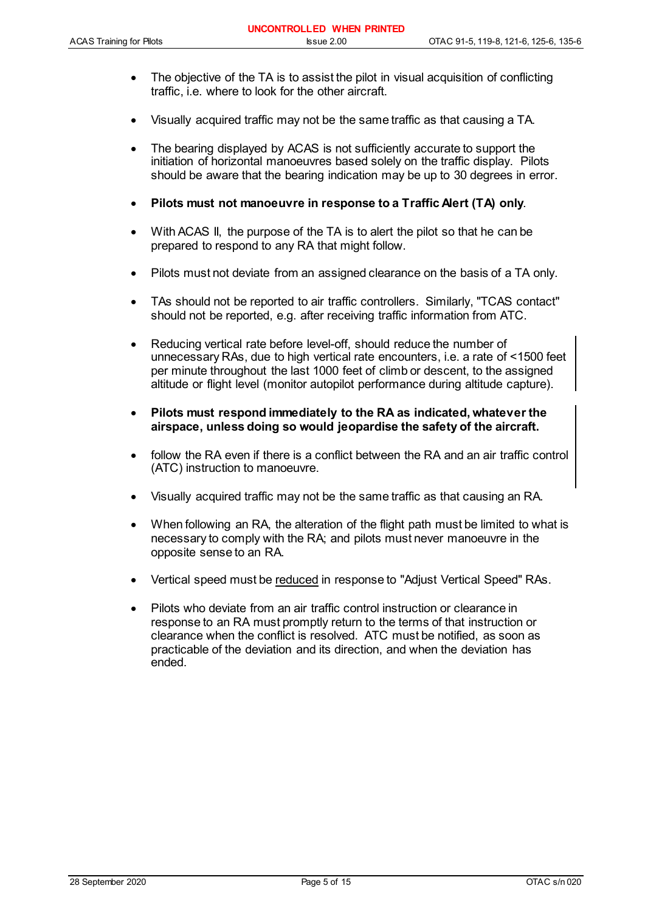- The objective of the TA is to assist the pilot in visual acquisition of conflicting traffic, i.e. where to look for the other aircraft.
- Visually acquired traffic may not be the same traffic as that causing a TA.
- The bearing displayed by ACAS is not sufficiently accurate to support the initiation of horizontal manoeuvres based solely on the traffic display. Pilots should be aware that the bearing indication may be up to 30 degrees in error.
- **Pilots must not manoeuvre in response to a Traffic Alert (TA) only**.
- With ACAS II, the purpose of the TA is to alert the pilot so that he can be prepared to respond to any RA that might follow.
- Pilots must not deviate from an assigned clearance on the basis of a TA only.
- TAs should not be reported to air traffic controllers. Similarly, "TCAS contact" should not be reported, e.g. after receiving traffic information from ATC.
- Reducing vertical rate before level-off, should reduce the number of unnecessary RAs, due to high vertical rate encounters, i.e. a rate of <1500 feet per minute throughout the last 1000 feet of climb or descent, to the assigned altitude or flight level (monitor autopilot performance during altitude capture).
- **Pilots must respond immediately to the RA as indicated, whatever the airspace, unless doing so would jeopardise the safety of the aircraft.**
- follow the RA even if there is a conflict between the RA and an air traffic control (ATC) instruction to manoeuvre.
- Visually acquired traffic may not be the same traffic as that causing an RA.
- When following an RA, the alteration of the flight path must be limited to what is necessary to comply with the RA; and pilots must never manoeuvre in the opposite sense to an RA.
- Vertical speed must be reduced in response to "Adjust Vertical Speed" RAs.
- Pilots who deviate from an air traffic control instruction or clearance in response to an RA must promptly return to the terms of that instruction or clearance when the conflict is resolved. ATC must be notified, as soon as practicable of the deviation and its direction, and when the deviation has ended.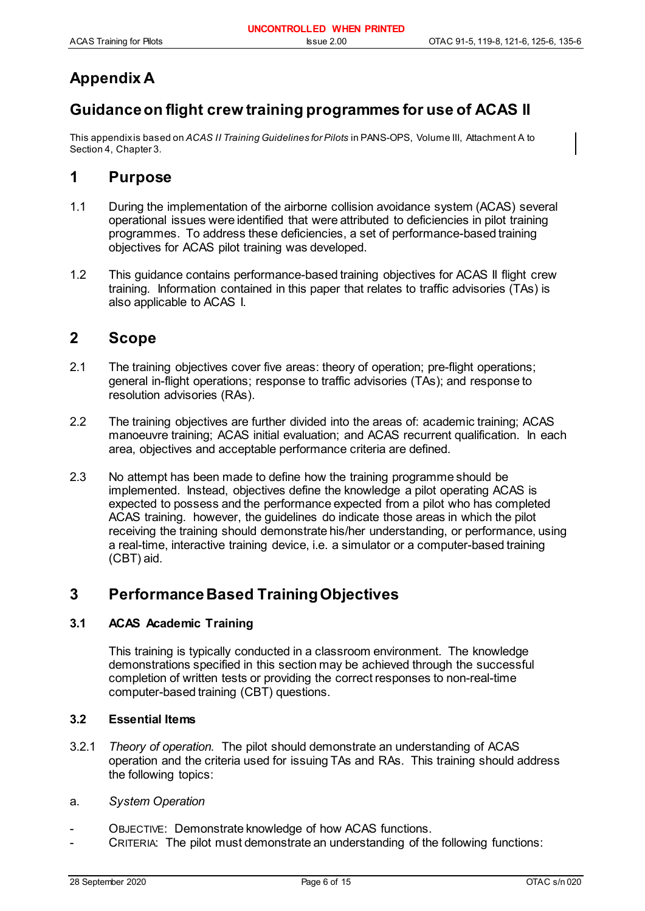# **Appendix A**

# **Guidance on flight crew training programmes for use of ACAS II**

This appendix is based on *ACAS II Training Guidelines for Pilots* in PANS-OPS, Volume III, Attachment A to Section 4, Chapter 3*.*

### **1 Purpose**

- 1.1 During the implementation of the airborne collision avoidance system (ACAS) several operational issues were identified that were attributed to deficiencies in pilot training programmes. To address these deficiencies, a set of performance-based training objectives for ACAS pilot training was developed.
- 1.2 This guidance contains performance-based training objectives for ACAS II flight crew training. Information contained in this paper that relates to traffic advisories (TAs) is also applicable to ACAS I.

### **2 Scope**

- 2.1 The training objectives cover five areas: theory of operation; pre-flight operations; general in-flight operations; response to traffic advisories (TAs); and response to resolution advisories (RAs).
- 2.2 The training objectives are further divided into the areas of: academic training; ACAS manoeuvre training; ACAS initial evaluation; and ACAS recurrent qualification. In each area, objectives and acceptable performance criteria are defined.
- 2.3 No attempt has been made to define how the training programme should be implemented. Instead, objectives define the knowledge a pilot operating ACAS is expected to possess and the performance expected from a pilot who has completed ACAS training. however, the guidelines do indicate those areas in which the pilot receiving the training should demonstrate his/her understanding, or performance, using a real-time, interactive training device, i.e. a simulator or a computer-based training (CBT) aid.

### **3 Performance Based Training Objectives**

### **3.1 ACAS Academic Training**

This training is typically conducted in a classroom environment. The knowledge demonstrations specified in this section may be achieved through the successful completion of written tests or providing the correct responses to non-real-time computer-based training (CBT) questions.

### **3.2 Essential Items**

- 3.2.1 *Theory of operation.* The pilot should demonstrate an understanding of ACAS operation and the criteria used for issuing TAs and RAs. This training should address the following topics:
- a. *System Operation*
- OBJECTIVE: Demonstrate knowledge of how ACAS functions.
- CRITERIA: The pilot must demonstrate an understanding of the following functions: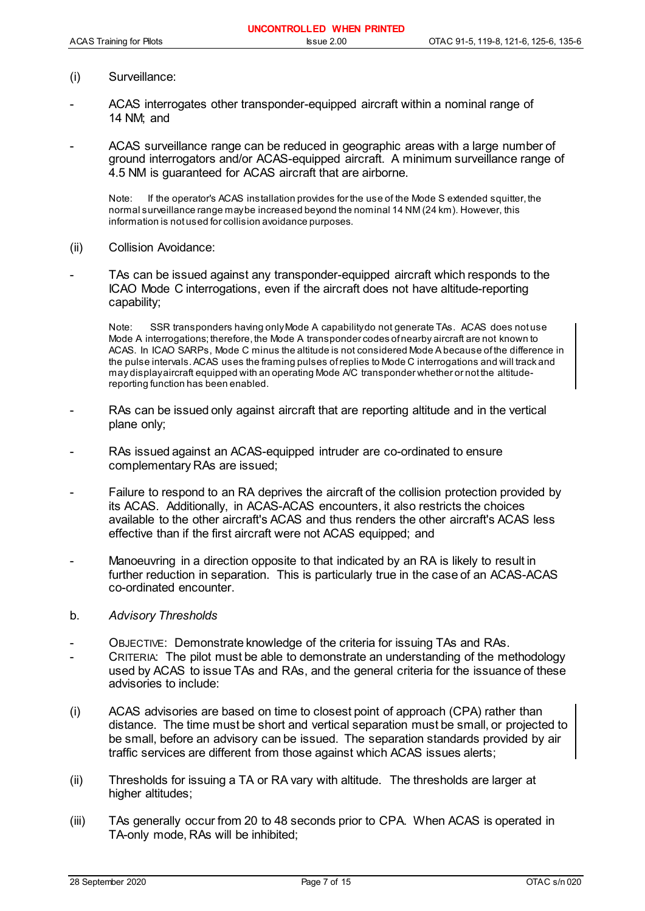- (i) Surveillance:
- ACAS interrogates other transponder-equipped aircraft within a nominal range of 14 NM; and
- ACAS surveillance range can be reduced in geographic areas with a large number of ground interrogators and/or ACAS-equipped aircraft. A minimum surveillance range of 4.5 NM is guaranteed for ACAS aircraft that are airborne.

Note: If the operator's ACAS installation provides for the use of the Mode S extended squitter, the normal surveillance range may be increased beyond the nominal 14 NM (24 km). However, this information is not used for collision avoidance purposes.

- (ii) Collision Avoidance:
- TAs can be issued against any transponder-equipped aircraft which responds to the ICAO Mode C interrogations, even if the aircraft does not have altitude-reporting capability;

Note: SSR transponders having only Mode A capability do not generate TAs. ACAS does not use Mode A interrogations; therefore, the Mode A transponder codes of nearby aircraft are not known to ACAS. In ICAO SARPs, Mode C minus the altitude is not considered Mode A because of the difference in the pulse intervals. ACAS uses the framing pulses of replies to Mode C interrogations and will track and may display aircraft equipped with an operating Mode A/C transponder whether or not the altitudereporting function has been enabled.

- RAs can be issued only against aircraft that are reporting altitude and in the vertical plane only;
- RAs issued against an ACAS-equipped intruder are co-ordinated to ensure complementary RAs are issued;
- Failure to respond to an RA deprives the aircraft of the collision protection provided by its ACAS. Additionally, in ACAS-ACAS encounters, it also restricts the choices available to the other aircraft's ACAS and thus renders the other aircraft's ACAS less effective than if the first aircraft were not ACAS equipped; and
- Manoeuvring in a direction opposite to that indicated by an RA is likely to result in further reduction in separation. This is particularly true in the case of an ACAS-ACAS co-ordinated encounter.
- b. *Advisory Thresholds*
- OBJECTIVE: Demonstrate knowledge of the criteria for issuing TAs and RAs.
- CRITERIA: The pilot must be able to demonstrate an understanding of the methodology used by ACAS to issue TAs and RAs, and the general criteria for the issuance of these advisories to include:
- (i) ACAS advisories are based on time to closest point of approach (CPA) rather than distance. The time must be short and vertical separation must be small, or projected to be small, before an advisory can be issued. The separation standards provided by air traffic services are different from those against which ACAS issues alerts;
- (ii) Thresholds for issuing a TA or RA vary with altitude. The thresholds are larger at higher altitudes;
- (iii) TAs generally occur from 20 to 48 seconds prior to CPA. When ACAS is operated in TA-only mode, RAs will be inhibited;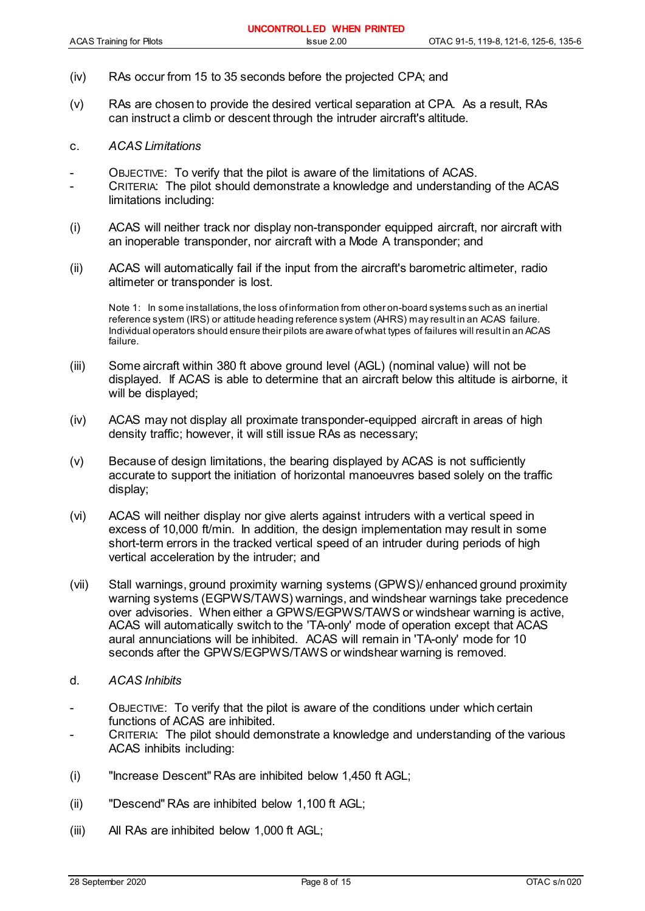- (iv) RAs occur from 15 to 35 seconds before the projected CPA; and
- (v) RAs are chosen to provide the desired vertical separation at CPA. As a result, RAs can instruct a climb or descent through the intruder aircraft's altitude.

#### c. *ACAS Limitations*

- OBJECTIVE: To verify that the pilot is aware of the limitations of ACAS.
- CRITERIA: The pilot should demonstrate a knowledge and understanding of the ACAS limitations including:
- (i) ACAS will neither track nor display non-transponder equipped aircraft, nor aircraft with an inoperable transponder, nor aircraft with a Mode A transponder; and
- (ii) ACAS will automatically fail if the input from the aircraft's barometric altimeter, radio altimeter or transponder is lost.

Note 1: In some installations, the loss of information from other on-board systems such as an inertial reference system (IRS) or attitude heading reference system (AHRS) may result in an ACAS failure. Individual operators should ensure their pilots are aware of what types of failures will result in an ACAS failure.

- (iii) Some aircraft within 380 ft above ground level (AGL) (nominal value) will not be displayed. If ACAS is able to determine that an aircraft below this altitude is airborne, it will be displayed;
- (iv) ACAS may not display all proximate transponder-equipped aircraft in areas of high density traffic; however, it will still issue RAs as necessary;
- (v) Because of design limitations, the bearing displayed by ACAS is not sufficiently accurate to support the initiation of horizontal manoeuvres based solely on the traffic display;
- (vi) ACAS will neither display nor give alerts against intruders with a vertical speed in excess of 10,000 ft/min. In addition, the design implementation may result in some short-term errors in the tracked vertical speed of an intruder during periods of high vertical acceleration by the intruder; and
- (vii) Stall warnings, ground proximity warning systems (GPWS)/ enhanced ground proximity warning systems (EGPWS/TAWS) warnings, and windshear warnings take precedence over advisories. When either a GPWS/EGPWS/TAWS or windshear warning is active, ACAS will automatically switch to the 'TA-only' mode of operation except that ACAS aural annunciations will be inhibited. ACAS will remain in 'TA-only' mode for 10 seconds after the GPWS/EGPWS/TAWS or windshear warning is removed.
- d. *ACAS Inhibits*
- OBJECTIVE: To verify that the pilot is aware of the conditions under which certain functions of ACAS are inhibited.
- CRITERIA: The pilot should demonstrate a knowledge and understanding of the various ACAS inhibits including:
- (i) "Increase Descent" RAs are inhibited below 1,450 ft AGL;
- (ii) "Descend" RAs are inhibited below 1,100 ft AGL;
- (iii) All RAs are inhibited below 1,000 ft AGL;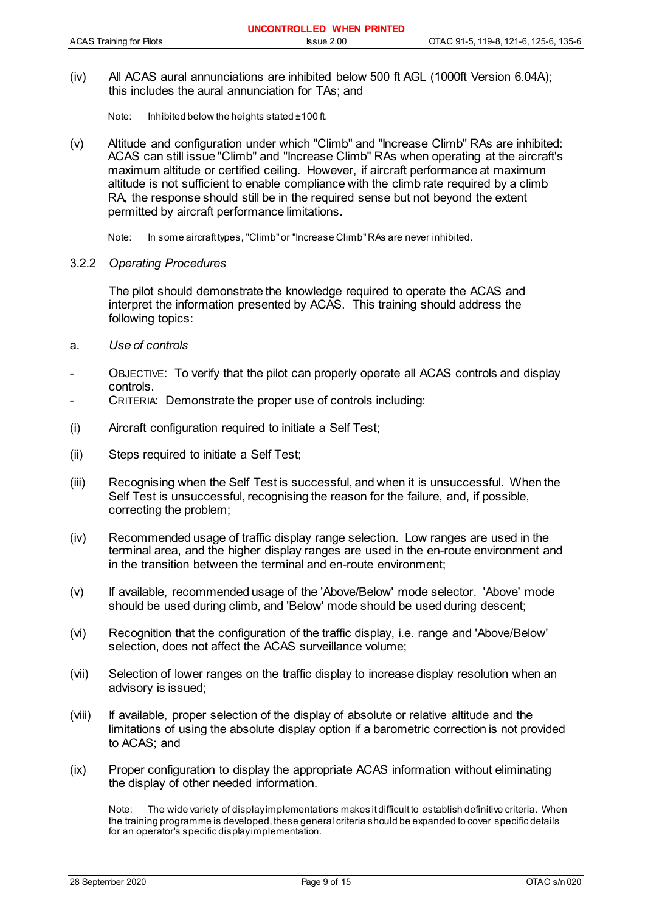(iv) All ACAS aural annunciations are inhibited below 500 ft AGL (1000ft Version 6.04A); this includes the aural annunciation for TAs; and

Note: Inhibited below the heights stated ±100 ft.

(v) Altitude and configuration under which "Climb" and "Increase Climb" RAs are inhibited: ACAS can still issue "Climb" and "Increase Climb" RAs when operating at the aircraft's maximum altitude or certified ceiling. However, if aircraft performance at maximum altitude is not sufficient to enable compliance with the climb rate required by a climb RA, the response should still be in the required sense but not beyond the extent permitted by aircraft performance limitations.

Note: In some aircraft types, "Climb" or "Increase Climb" RAs are never inhibited.

### 3.2.2 *Operating Procedures*

The pilot should demonstrate the knowledge required to operate the ACAS and interpret the information presented by ACAS. This training should address the following topics:

- a. *Use of controls*
- OBJECTIVE: To verify that the pilot can properly operate all ACAS controls and display controls.
- CRITERIA: Demonstrate the proper use of controls including:
- (i) Aircraft configuration required to initiate a Self Test;
- (ii) Steps required to initiate a Self Test;
- (iii) Recognising when the Self Test is successful, and when it is unsuccessful. When the Self Test is unsuccessful, recognising the reason for the failure, and, if possible, correcting the problem;
- (iv) Recommended usage of traffic display range selection. Low ranges are used in the terminal area, and the higher display ranges are used in the en-route environment and in the transition between the terminal and en-route environment;
- (v) If available, recommended usage of the 'Above/Below' mode selector. 'Above' mode should be used during climb, and 'Below' mode should be used during descent;
- (vi) Recognition that the configuration of the traffic display, i.e. range and 'Above/Below' selection, does not affect the ACAS surveillance volume;
- (vii) Selection of lower ranges on the traffic display to increase display resolution when an advisory is issued;
- (viii) If available, proper selection of the display of absolute or relative altitude and the limitations of using the absolute display option if a barometric correction is not provided to ACAS; and
- (ix) Proper configuration to display the appropriate ACAS information without eliminating the display of other needed information.

Note: The wide variety of display implementations makes it difficult to establish definitive criteria. When the training programme is developed, these general criteria should be expanded to cover specific details for an operator's specific display implementation.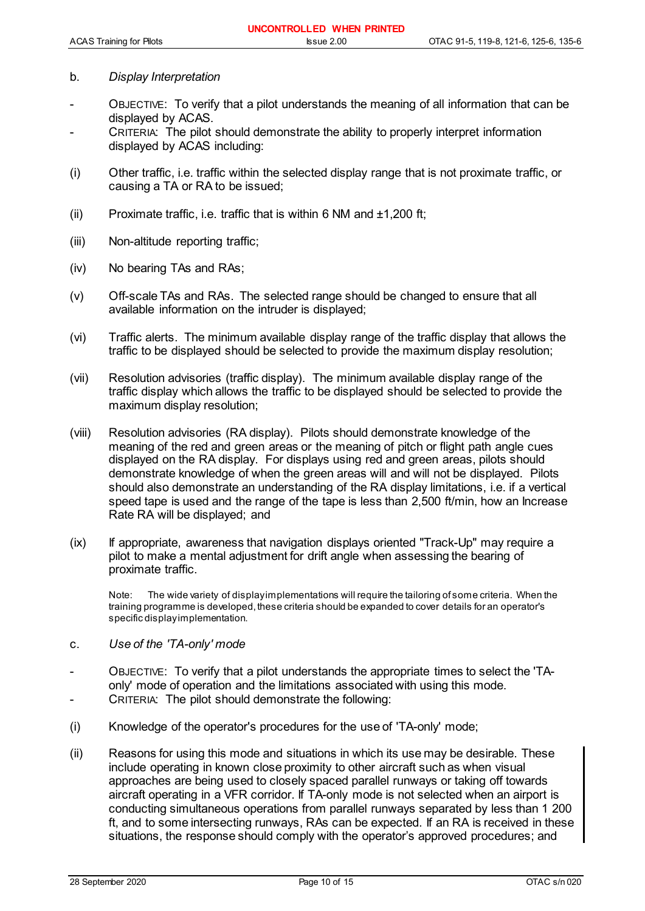#### b. *Display Interpretation*

- OBJECTIVE: To verify that a pilot understands the meaning of all information that can be displayed by ACAS.
- CRITERIA: The pilot should demonstrate the ability to properly interpret information displayed by ACAS including:
- (i) Other traffic, i.e. traffic within the selected display range that is not proximate traffic, or causing a TA or RA to be issued;
- (ii) Proximate traffic, i.e. traffic that is within 6 NM and  $\pm$ 1,200 ft;
- (iii) Non-altitude reporting traffic;
- (iv) No bearing TAs and RAs;
- (v) Off-scale TAs and RAs. The selected range should be changed to ensure that all available information on the intruder is displayed;
- (vi) Traffic alerts. The minimum available display range of the traffic display that allows the traffic to be displayed should be selected to provide the maximum display resolution;
- (vii) Resolution advisories (traffic display). The minimum available display range of the traffic display which allows the traffic to be displayed should be selected to provide the maximum display resolution;
- (viii) Resolution advisories (RA display). Pilots should demonstrate knowledge of the meaning of the red and green areas or the meaning of pitch or flight path angle cues displayed on the RA display. For displays using red and green areas, pilots should demonstrate knowledge of when the green areas will and will not be displayed. Pilots should also demonstrate an understanding of the RA display limitations, i.e. if a vertical speed tape is used and the range of the tape is less than 2,500 ft/min, how an Increase Rate RA will be displayed; and
- (ix) If appropriate, awareness that navigation displays oriented "Track-Up" may require a pilot to make a mental adjustment for drift angle when assessing the bearing of proximate traffic.

Note: The wide variety of display implementations will require the tailoring of some criteria. When the training programme is developed, these criteria should be expanded to cover details for an operator's specific display implementation.

- c. *Use of the 'TA-only' mode*
- OBJECTIVE: To verify that a pilot understands the appropriate times to select the 'TAonly' mode of operation and the limitations associated with using this mode.
- CRITERIA: The pilot should demonstrate the following:
- (i) Knowledge of the operator's procedures for the use of 'TA-only' mode;
- (ii) Reasons for using this mode and situations in which its use may be desirable. These include operating in known close proximity to other aircraft such as when visual approaches are being used to closely spaced parallel runways or taking off towards aircraft operating in a VFR corridor. If TA-only mode is not selected when an airport is conducting simultaneous operations from parallel runways separated by less than 1 200 ft, and to some intersecting runways, RAs can be expected. If an RA is received in these situations, the response should comply with the operator's approved procedures; and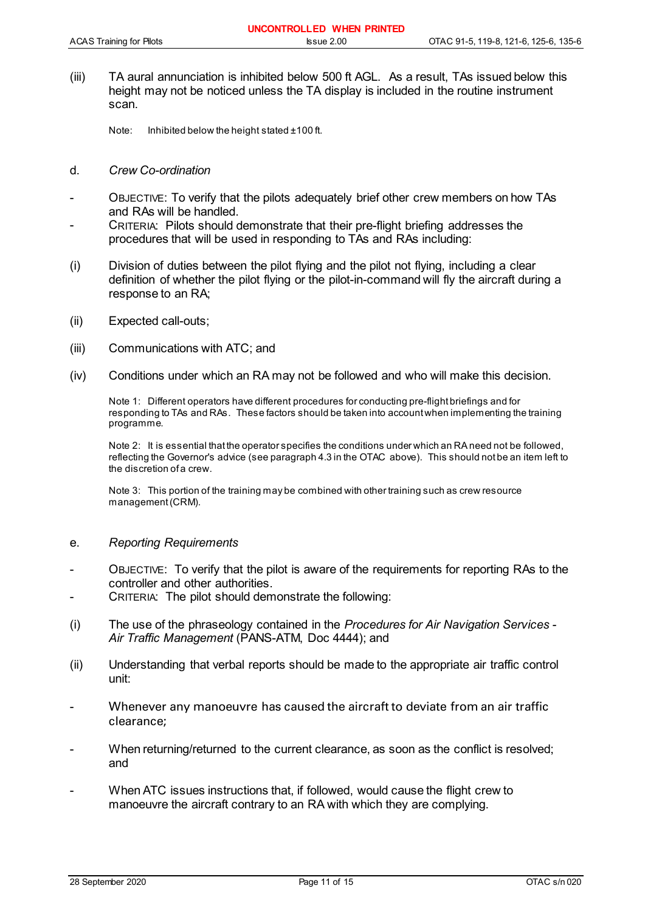(iii) TA aural annunciation is inhibited below 500 ft AGL. As a result, TAs issued below this height may not be noticed unless the TA display is included in the routine instrument scan.

Note: Inhibited below the height stated ±100 ft.

#### d. *Crew Co-ordination*

- OBJECTIVE: To verify that the pilots adequately brief other crew members on how TAs and RAs will be handled.
- CRITERIA: Pilots should demonstrate that their pre-flight briefing addresses the procedures that will be used in responding to TAs and RAs including:
- (i) Division of duties between the pilot flying and the pilot not flying, including a clear definition of whether the pilot flying or the pilot-in-command will fly the aircraft during a response to an RA;
- (ii) Expected call-outs;
- (iii) Communications with ATC; and
- (iv) Conditions under which an RA may not be followed and who will make this decision.

Note 1: Different operators have different procedures for conducting pre-flight briefings and for responding to TAs and RAs. These factors should be taken into account when implementing the training programme.

Note 2: It is essential that the operator specifies the conditions under which an RA need not be followed, reflecting the Governor's advice (see paragraph 4.3 in the OTAC above). This should not be an item left to the discretion of a crew.

Note 3: This portion of the training may be combined with other training such as crew resource management (CRM).

#### e. *Reporting Requirements*

- OBJECTIVE: To verify that the pilot is aware of the requirements for reporting RAs to the controller and other authorities.
- CRITERIA: The pilot should demonstrate the following:
- (i) The use of the phraseology contained in the *Procedures for Air Navigation Services - Air Traffic Management* (PANS-ATM, Doc 4444); and
- (ii) Understanding that verbal reports should be made to the appropriate air traffic control unit:
- Whenever any manoeuvre has caused the aircraft to deviate from an air traffic clearance;
- When returning/returned to the current clearance, as soon as the conflict is resolved; and
- When ATC issues instructions that, if followed, would cause the flight crew to manoeuvre the aircraft contrary to an RA with which they are complying.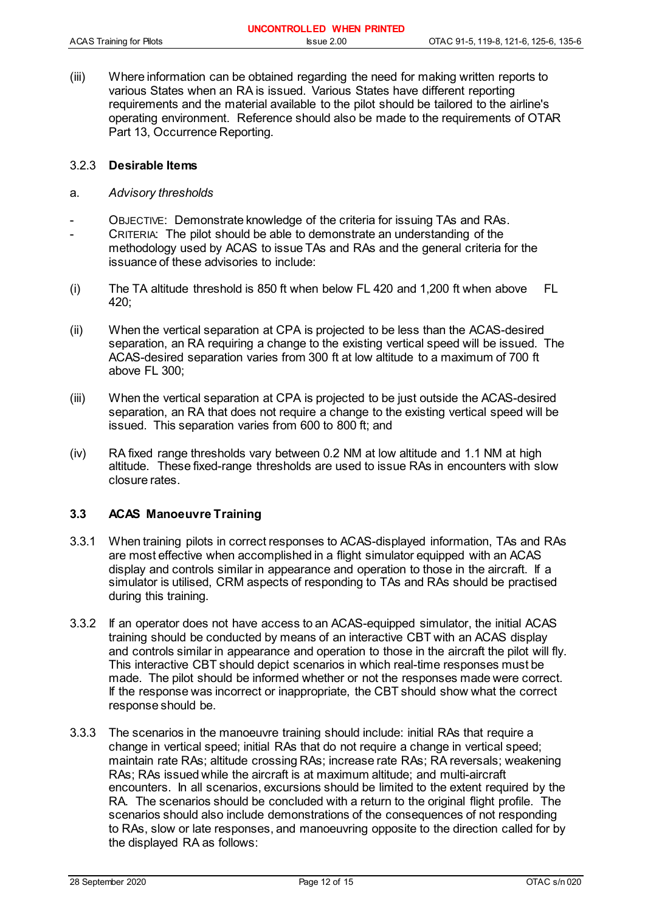|                                 | UNCONTROLLED WHEN PRINTED |                                       |
|---------------------------------|---------------------------|---------------------------------------|
| <b>ACAS Training for Pilots</b> | $l$ ssue $2.00$           | OTAC 91-5, 119-8, 121-6, 125-6, 135-6 |

(iii) Where information can be obtained regarding the need for making written reports to various States when an RA is issued. Various States have different reporting requirements and the material available to the pilot should be tailored to the airline's operating environment. Reference should also be made to the requirements of OTAR Part 13, Occurrence Reporting.

### 3.2.3 **Desirable Items**

- a. *Advisory thresholds*
- OBJECTIVE: Demonstrate knowledge of the criteria for issuing TAs and RAs.
- CRITERIA: The pilot should be able to demonstrate an understanding of the methodology used by ACAS to issue TAs and RAs and the general criteria for the issuance of these advisories to include:
- (i) The TA altitude threshold is 850 ft when below FL 420 and 1,200 ft when above FL 420;
- (ii) When the vertical separation at CPA is projected to be less than the ACAS-desired separation, an RA requiring a change to the existing vertical speed will be issued. The ACAS-desired separation varies from 300 ft at low altitude to a maximum of 700 ft above FL 300;
- (iii) When the vertical separation at CPA is projected to be just outside the ACAS-desired separation, an RA that does not require a change to the existing vertical speed will be issued. This separation varies from 600 to 800 ft; and
- (iv) RA fixed range thresholds vary between 0.2 NM at low altitude and 1.1 NM at high altitude. These fixed-range thresholds are used to issue RAs in encounters with slow closure rates.

### **3.3 ACAS Manoeuvre Training**

- 3.3.1 When training pilots in correct responses to ACAS-displayed information, TAs and RAs are most effective when accomplished in a flight simulator equipped with an ACAS display and controls similar in appearance and operation to those in the aircraft. If a simulator is utilised, CRM aspects of responding to TAs and RAs should be practised during this training.
- 3.3.2 If an operator does not have access to an ACAS-equipped simulator, the initial ACAS training should be conducted by means of an interactive CBT with an ACAS display and controls similar in appearance and operation to those in the aircraft the pilot will fly. This interactive CBT should depict scenarios in which real-time responses must be made. The pilot should be informed whether or not the responses made were correct. If the response was incorrect or inappropriate, the CBT should show what the correct response should be.
- 3.3.3 The scenarios in the manoeuvre training should include: initial RAs that require a change in vertical speed; initial RAs that do not require a change in vertical speed; maintain rate RAs; altitude crossing RAs; increase rate RAs; RA reversals; weakening RAs; RAs issued while the aircraft is at maximum altitude; and multi-aircraft encounters. In all scenarios, excursions should be limited to the extent required by the RA. The scenarios should be concluded with a return to the original flight profile. The scenarios should also include demonstrations of the consequences of not responding to RAs, slow or late responses, and manoeuvring opposite to the direction called for by the displayed RA as follows: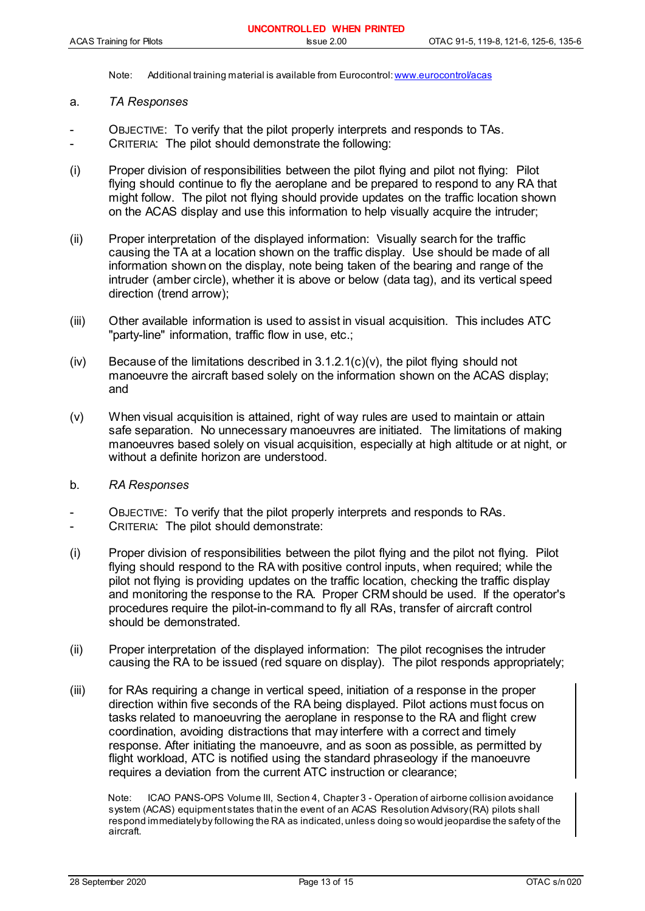Note: Additional training material is available from Eurocontrol: www.eurocontrol/acas

#### a. *TA Responses*

- OBJECTIVE: To verify that the pilot properly interprets and responds to TAs.
- CRITERIA: The pilot should demonstrate the following:
- (i) Proper division of responsibilities between the pilot flying and pilot not flying: Pilot flying should continue to fly the aeroplane and be prepared to respond to any RA that might follow. The pilot not flying should provide updates on the traffic location shown on the ACAS display and use this information to help visually acquire the intruder;
- (ii) Proper interpretation of the displayed information: Visually search for the traffic causing the TA at a location shown on the traffic display. Use should be made of all information shown on the display, note being taken of the bearing and range of the intruder (amber circle), whether it is above or below (data tag), and its vertical speed direction (trend arrow);
- (iii) Other available information is used to assist in visual acquisition. This includes ATC "party-line" information, traffic flow in use, etc.;
- $(iv)$  Because of the limitations described in 3.1.2.1(c)(v), the pilot flying should not manoeuvre the aircraft based solely on the information shown on the ACAS display; and
- (v) When visual acquisition is attained, right of way rules are used to maintain or attain safe separation. No unnecessary manoeuvres are initiated. The limitations of making manoeuvres based solely on visual acquisition, especially at high altitude or at night, or without a definite horizon are understood.
- b. *RA Responses*
- OBJECTIVE: To verify that the pilot properly interprets and responds to RAs.
- CRITERIA: The pilot should demonstrate:
- (i) Proper division of responsibilities between the pilot flying and the pilot not flying. Pilot flying should respond to the RA with positive control inputs, when required; while the pilot not flying is providing updates on the traffic location, checking the traffic display and monitoring the response to the RA. Proper CRM should be used. If the operator's procedures require the pilot-in-command to fly all RAs, transfer of aircraft control should be demonstrated.
- (ii) Proper interpretation of the displayed information: The pilot recognises the intruder causing the RA to be issued (red square on display). The pilot responds appropriately;
- (iii) for RAs requiring a change in vertical speed, initiation of a response in the proper direction within five seconds of the RA being displayed. Pilot actions must focus on tasks related to manoeuvring the aeroplane in response to the RA and flight crew coordination, avoiding distractions that may interfere with a correct and timely response. After initiating the manoeuvre, and as soon as possible, as permitted by flight workload, ATC is notified using the standard phraseology if the manoeuvre requires a deviation from the current ATC instruction or clearance;

Note: ICAO PANS-OPS Volume III, Section 4, Chapter 3 - Operation of airborne collision avoidance system (ACAS) equipment states that in the event of an ACAS Resolution Advisory (RA) pilots shall respond immediately by following the RA as indicated, unless doing so would jeopardise the safety of the aircraft.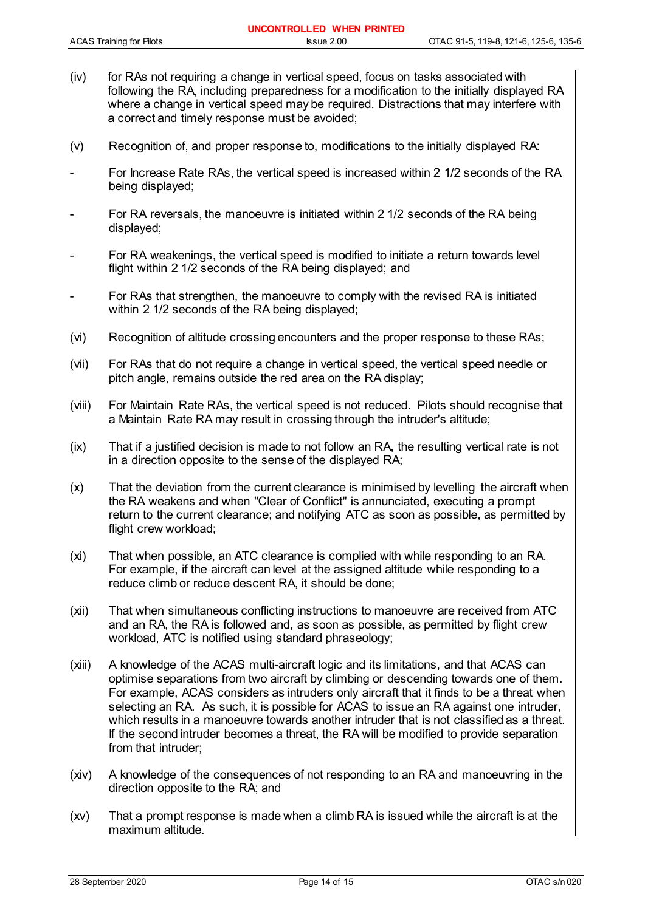- (iv) for RAs not requiring a change in vertical speed, focus on tasks associated with following the RA, including preparedness for a modification to the initially displayed RA where a change in vertical speed may be required. Distractions that may interfere with a correct and timely response must be avoided;
- (v) Recognition of, and proper response to, modifications to the initially displayed RA:
- For Increase Rate RAs, the vertical speed is increased within 2 1/2 seconds of the RA being displayed;
- For RA reversals, the manoeuvre is initiated within 2 1/2 seconds of the RA being displayed;
- For RA weakenings, the vertical speed is modified to initiate a return towards level flight within 2 1/2 seconds of the RA being displayed; and
- For RAs that strengthen, the manoeuvre to comply with the revised RA is initiated within 2 1/2 seconds of the RA being displayed;
- (vi) Recognition of altitude crossing encounters and the proper response to these RAs;
- (vii) For RAs that do not require a change in vertical speed, the vertical speed needle or pitch angle, remains outside the red area on the RA display;
- (viii) For Maintain Rate RAs, the vertical speed is not reduced. Pilots should recognise that a Maintain Rate RA may result in crossing through the intruder's altitude;
- (ix) That if a justified decision is made to not follow an RA, the resulting vertical rate is not in a direction opposite to the sense of the displayed RA;
- (x) That the deviation from the current clearance is minimised by levelling the aircraft when the RA weakens and when "Clear of Conflict" is annunciated, executing a prompt return to the current clearance; and notifying ATC as soon as possible, as permitted by flight crew workload:
- (xi) That when possible, an ATC clearance is complied with while responding to an RA. For example, if the aircraft can level at the assigned altitude while responding to a reduce climb or reduce descent RA, it should be done;
- (xii) That when simultaneous conflicting instructions to manoeuvre are received from ATC and an RA, the RA is followed and, as soon as possible, as permitted by flight crew workload, ATC is notified using standard phraseology;
- (xiii) A knowledge of the ACAS multi-aircraft logic and its limitations, and that ACAS can optimise separations from two aircraft by climbing or descending towards one of them. For example, ACAS considers as intruders only aircraft that it finds to be a threat when selecting an RA. As such, it is possible for ACAS to issue an RA against one intruder, which results in a manoeuvre towards another intruder that is not classified as a threat. If the second intruder becomes a threat, the RA will be modified to provide separation from that intruder;
- (xiv) A knowledge of the consequences of not responding to an RA and manoeuvring in the direction opposite to the RA; and
- (xv) That a prompt response is made when a climb RA is issued while the aircraft is at the maximum altitude.